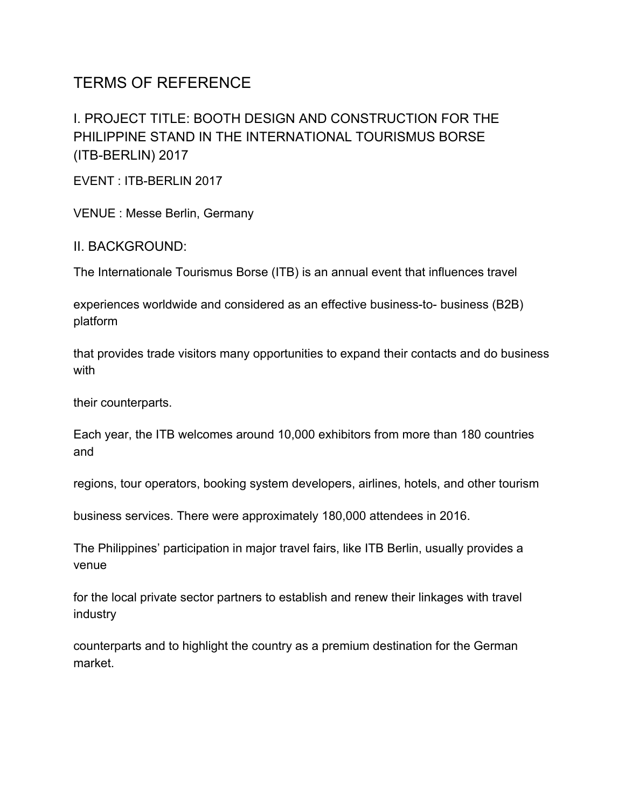# TERMS OF REFERENCE

## I. PROJECT TITLE: BOOTH DESIGN AND CONSTRUCTION FOR THE PHILIPPINE STAND IN THE INTERNATIONAL TOURISMUS BORSE (ITB-BERLIN) 2017

EVENT : ITB-BERLIN 2017

VENUE : Messe Berlin, Germany

II. BACKGROUND:

The Internationale Tourismus Borse (ITB) is an annual event that influences travel

experiences worldwide and considered as an effective business-to- business (B2B) platform

that provides trade visitors many opportunities to expand their contacts and do business with

their counterparts.

Each year, the ITB welcomes around 10,000 exhibitors from more than 180 countries and

regions, tour operators, booking system developers, airlines, hotels, and other tourism

business services. There were approximately 180,000 attendees in 2016.

The Philippines' participation in major travel fairs, like ITB Berlin, usually provides a venue

for the local private sector partners to establish and renew their linkages with travel industry

counterparts and to highlight the country as a premium destination for the German market.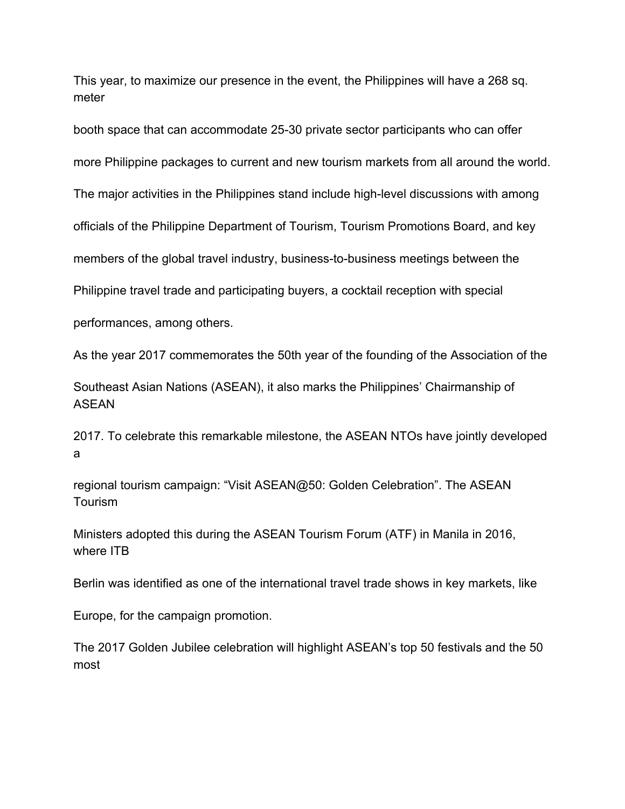This year, to maximize our presence in the event, the Philippines will have a 268 sq. meter

booth space that can accommodate 25-30 private sector participants who can offer more Philippine packages to current and new tourism markets from all around the world. The major activities in the Philippines stand include high-level discussions with among officials of the Philippine Department of Tourism, Tourism Promotions Board, and key

members of the global travel industry, business-to-business meetings between the

Philippine travel trade and participating buyers, a cocktail reception with special

performances, among others.

As the year 2017 commemorates the 50th year of the founding of the Association of the

Southeast Asian Nations (ASEAN), it also marks the Philippines' Chairmanship of ASEAN

2017. To celebrate this remarkable milestone, the ASEAN NTOs have jointly developed a

regional tourism campaign: "Visit ASEAN@50: Golden Celebration". The ASEAN Tourism

Ministers adopted this during the ASEAN Tourism Forum (ATF) in Manila in 2016, where ITB

Berlin was identified as one of the international travel trade shows in key markets, like

Europe, for the campaign promotion.

The 2017 Golden Jubilee celebration will highlight ASEAN's top 50 festivals and the 50 most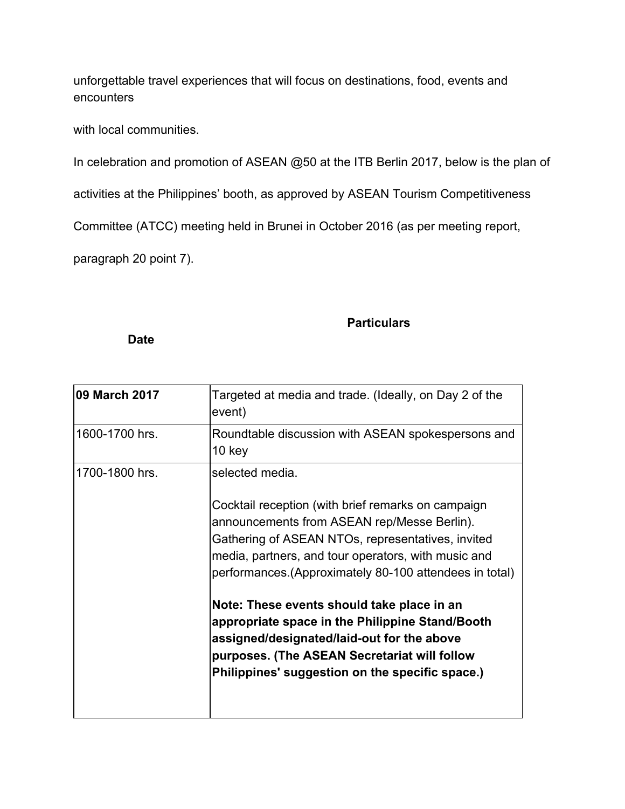unforgettable travel experiences that will focus on destinations, food, events and encounters

with local communities.

In celebration and promotion of ASEAN @50 at the ITB Berlin 2017, below is the plan of

activities at the Philippines' booth, as approved by ASEAN Tourism Competitiveness

Committee (ATCC) meeting held in Brunei in October 2016 (as per meeting report,

paragraph 20 point 7).

### **Particulars**

#### **Date**

| 1600-1700 hrs.<br>Roundtable discussion with ASEAN spokespersons and<br>10 <sub>key</sub><br>1700-1800 hrs.<br>selected media.<br>Cocktail reception (with brief remarks on campaign<br>announcements from ASEAN rep/Messe Berlin).<br>Gathering of ASEAN NTOs, representatives, invited<br>media, partners, and tour operators, with music and<br>performances. (Approximately 80-100 attendees in total) | 09 March 2017 | Targeted at media and trade. (Ideally, on Day 2 of the<br>event) |
|------------------------------------------------------------------------------------------------------------------------------------------------------------------------------------------------------------------------------------------------------------------------------------------------------------------------------------------------------------------------------------------------------------|---------------|------------------------------------------------------------------|
|                                                                                                                                                                                                                                                                                                                                                                                                            |               |                                                                  |
| Note: These events should take place in an<br>appropriate space in the Philippine Stand/Booth<br>assigned/designated/laid-out for the above<br>purposes. (The ASEAN Secretariat will follow<br>Philippines' suggestion on the specific space.)                                                                                                                                                             |               |                                                                  |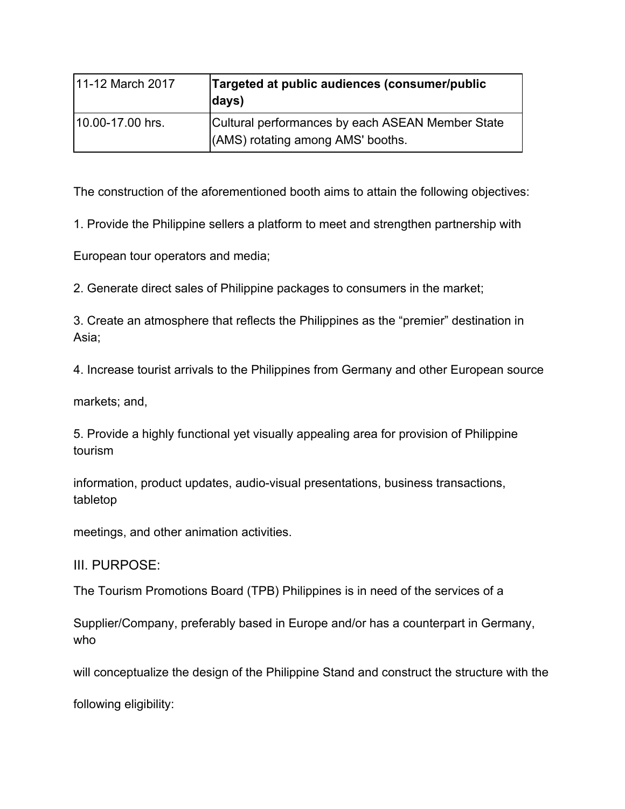| 11-12 March 2017 | Targeted at public audiences (consumer/public<br>days)                                |
|------------------|---------------------------------------------------------------------------------------|
| 10.00-17.00 hrs. | Cultural performances by each ASEAN Member State<br>(AMS) rotating among AMS' booths. |

The construction of the aforementioned booth aims to attain the following objectives:

1. Provide the Philippine sellers a platform to meet and strengthen partnership with

European tour operators and media;

2. Generate direct sales of Philippine packages to consumers in the market;

3. Create an atmosphere that reflects the Philippines as the "premier" destination in Asia;

4. Increase tourist arrivals to the Philippines from Germany and other European source

markets; and,

5. Provide a highly functional yet visually appealing area for provision of Philippine tourism

information, product updates, audio-visual presentations, business transactions, tabletop

meetings, and other animation activities.

III. PURPOSE:

The Tourism Promotions Board (TPB) Philippines is in need of the services of a

Supplier/Company, preferably based in Europe and/or has a counterpart in Germany, who

will conceptualize the design of the Philippine Stand and construct the structure with the

following eligibility: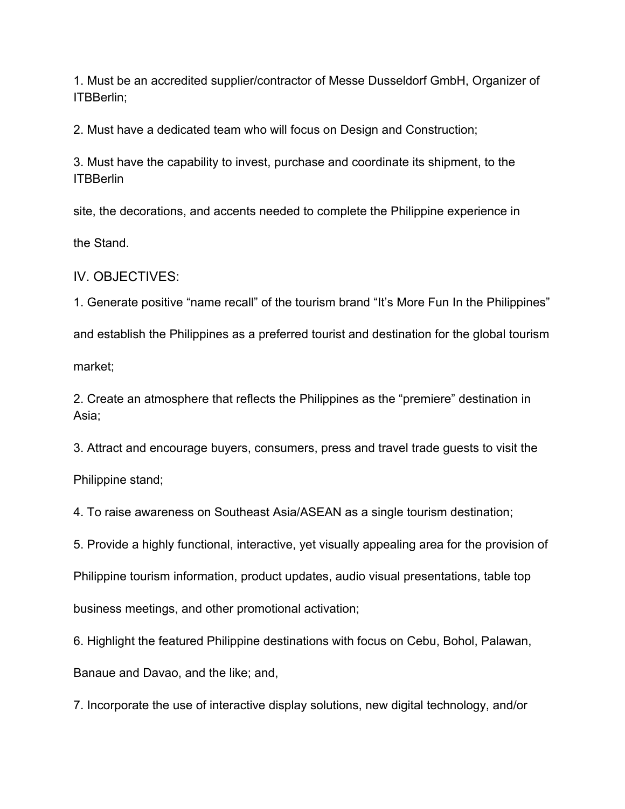1. Must be an accredited supplier/contractor of Messe Dusseldorf GmbH, Organizer of ITBBerlin;

2. Must have a dedicated team who will focus on Design and Construction;

3. Must have the capability to invest, purchase and coordinate its shipment, to the ITBBerlin

site, the decorations, and accents needed to complete the Philippine experience in

the Stand.

IV. OBJECTIVES:

1. Generate positive "name recall" of the tourism brand "It's More Fun In the Philippines" and establish the Philippines as a preferred tourist and destination for the global tourism market;

2. Create an atmosphere that reflects the Philippines as the "premiere" destination in Asia;

3. Attract and encourage buyers, consumers, press and travel trade guests to visit the

Philippine stand;

4. To raise awareness on Southeast Asia/ASEAN as a single tourism destination;

5. Provide a highly functional, interactive, yet visually appealing area for the provision of

Philippine tourism information, product updates, audio visual presentations, table top

business meetings, and other promotional activation;

6. Highlight the featured Philippine destinations with focus on Cebu, Bohol, Palawan,

Banaue and Davao, and the like; and,

7. Incorporate the use of interactive display solutions, new digital technology, and/or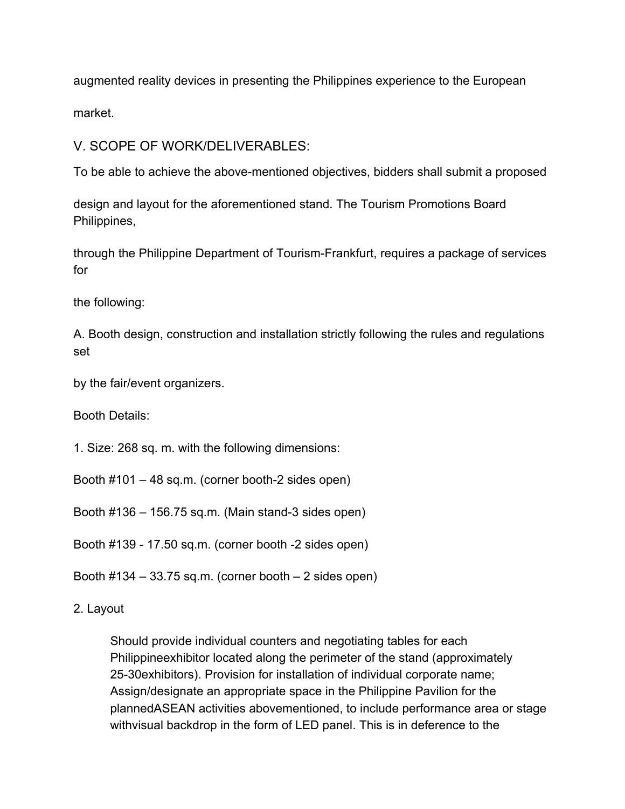augmented reality devices in presenting the Philippines experience to the European

market.

V. SCOPE OF WORK/DELIVERABLES:

To be able to achieve the above-mentioned objectives, bidders shall submit a proposed

design and layout for the aforementioned stand. The Tourism Promotions Board Philippines,

through the Philippine Department of Tourism-Frankfurt, requires a package of services for

the following:

A. Booth design, construction and installation strictly following the rules and regulations set

by the fair/event organizers.

Booth Details:

1. Size: 268 sq. m. with the following dimensions:

Booth #101 – 48 sq.m. (corner booth-2 sides open)

Booth #136 – 156.75 sq.m. (Main stand-3 sides open)

Booth #139 - 17.50 sq.m. (corner booth -2 sides open)

Booth  $\#134 - 33.75$  sq.m. (corner booth  $-2$  sides open)

2. Layout

Should provide individual counters and negotiating tables for each Philippineexhibitor located along the perimeter of the stand (approximately 25-30exhibitors). Provision for installation of individual corporate name; Assign/designate an appropriate space in the Philippine Pavilion for the plannedASEAN activities abovementioned, to include performance area or stage withvisual backdrop in the form of LED panel. This is in deference to the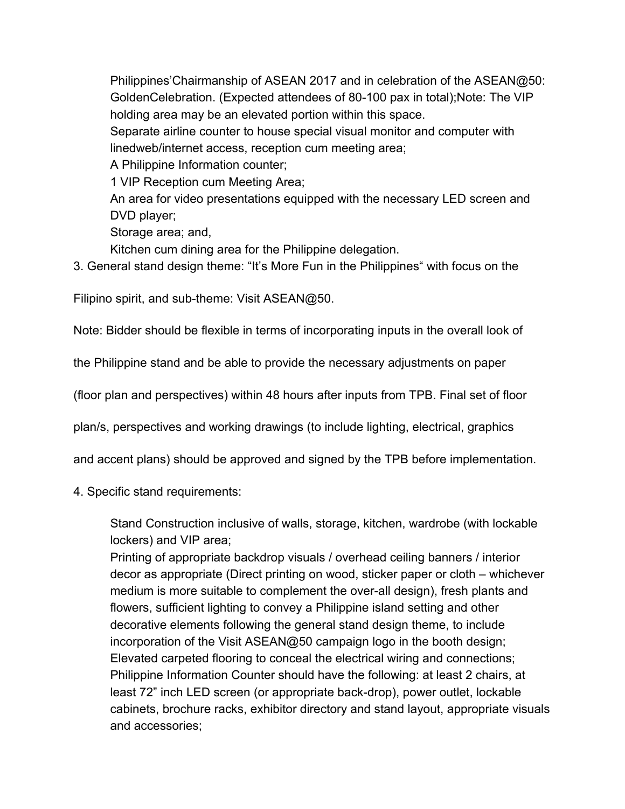Philippines'Chairmanship of ASEAN 2017 and in celebration of the ASEAN@50: GoldenCelebration. (Expected attendees of 80-100 pax in total);Note: The VIP holding area may be an elevated portion within this space.

Separate airline counter to house special visual monitor and computer with linedweb/internet access, reception cum meeting area;

A Philippine Information counter;

1 VIP Reception cum Meeting Area;

An area for video presentations equipped with the necessary LED screen and DVD player;

Storage area; and,

Kitchen cum dining area for the Philippine delegation.

3. General stand design theme: "It's More Fun in the Philippines" with focus on the

Filipino spirit, and sub-theme: Visit ASEAN@50.

Note: Bidder should be flexible in terms of incorporating inputs in the overall look of

the Philippine stand and be able to provide the necessary adjustments on paper

(floor plan and perspectives) within 48 hours after inputs from TPB. Final set of floor

plan/s, perspectives and working drawings (to include lighting, electrical, graphics

and accent plans) should be approved and signed by the TPB before implementation.

4. Specific stand requirements:

Stand Construction inclusive of walls, storage, kitchen, wardrobe (with lockable lockers) and VIP area;

Printing of appropriate backdrop visuals / overhead ceiling banners / interior decor as appropriate (Direct printing on wood, sticker paper or cloth – whichever medium is more suitable to complement the over-all design), fresh plants and flowers, sufficient lighting to convey a Philippine island setting and other decorative elements following the general stand design theme, to include incorporation of the Visit ASEAN@50 campaign logo in the booth design; Elevated carpeted flooring to conceal the electrical wiring and connections; Philippine Information Counter should have the following: at least 2 chairs, at least 72" inch LED screen (or appropriate back-drop), power outlet, lockable cabinets, brochure racks, exhibitor directory and stand layout, appropriate visuals and accessories;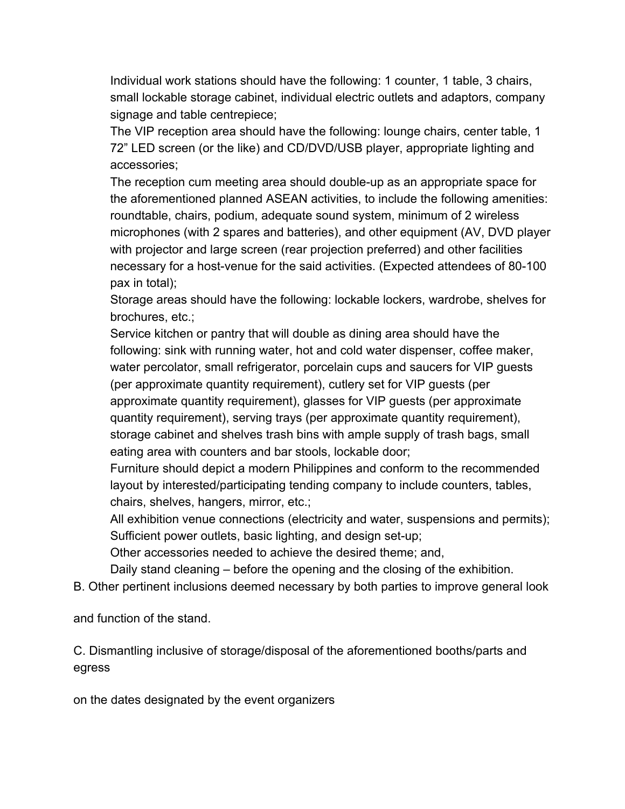Individual work stations should have the following: 1 counter, 1 table, 3 chairs, small lockable storage cabinet, individual electric outlets and adaptors, company signage and table centrepiece;

The VIP reception area should have the following: lounge chairs, center table, 1 72" LED screen (or the like) and CD/DVD/USB player, appropriate lighting and accessories;

The reception cum meeting area should double-up as an appropriate space for the aforementioned planned ASEAN activities, to include the following amenities: roundtable, chairs, podium, adequate sound system, minimum of 2 wireless microphones (with 2 spares and batteries), and other equipment (AV, DVD player with projector and large screen (rear projection preferred) and other facilities necessary for a host-venue for the said activities. (Expected attendees of 80-100 pax in total);

Storage areas should have the following: lockable lockers, wardrobe, shelves for brochures, etc.;

Service kitchen or pantry that will double as dining area should have the following: sink with running water, hot and cold water dispenser, coffee maker, water percolator, small refrigerator, porcelain cups and saucers for VIP guests (per approximate quantity requirement), cutlery set for VIP guests (per approximate quantity requirement), glasses for VIP guests (per approximate quantity requirement), serving trays (per approximate quantity requirement), storage cabinet and shelves trash bins with ample supply of trash bags, small eating area with counters and bar stools, lockable door;

Furniture should depict a modern Philippines and conform to the recommended layout by interested/participating tending company to include counters, tables, chairs, shelves, hangers, mirror, etc.;

All exhibition venue connections (electricity and water, suspensions and permits); Sufficient power outlets, basic lighting, and design set-up;

Other accessories needed to achieve the desired theme; and,

Daily stand cleaning – before the opening and the closing of the exhibition.

B. Other pertinent inclusions deemed necessary by both parties to improve general look

and function of the stand.

C. Dismantling inclusive of storage/disposal of the aforementioned booths/parts and egress

on the dates designated by the event organizers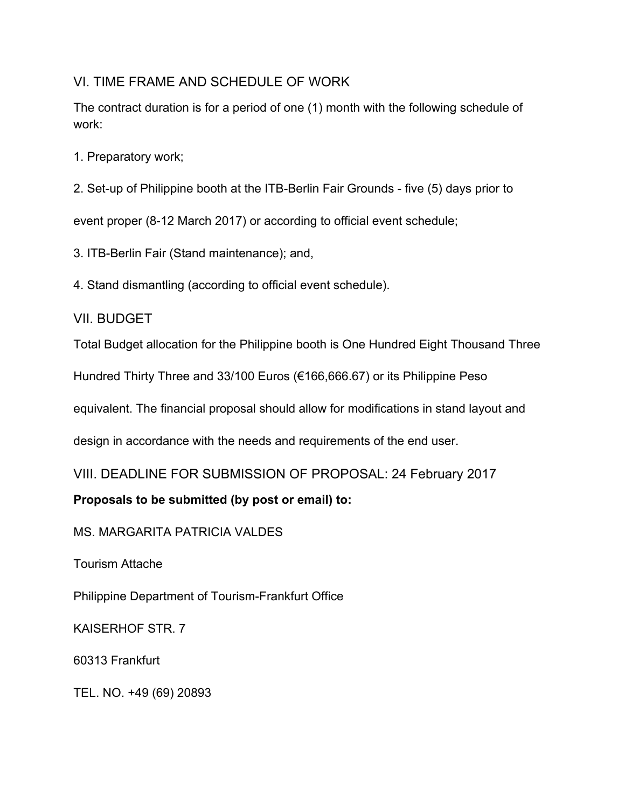## VI. TIME FRAME AND SCHEDULE OF WORK

The contract duration is for a period of one (1) month with the following schedule of work:

- 1. Preparatory work;
- 2. Set-up of Philippine booth at the ITB-Berlin Fair Grounds five (5) days prior to

event proper (8-12 March 2017) or according to official event schedule;

- 3. ITB-Berlin Fair (Stand maintenance); and,
- 4. Stand dismantling (according to official event schedule).

### VII. BUDGET

Total Budget allocation for the Philippine booth is One Hundred Eight Thousand Three

Hundred Thirty Three and 33/100 Euros (€166,666.67) or its Philippine Peso

equivalent. The financial proposal should allow for modifications in stand layout and

design in accordance with the needs and requirements of the end user.

VIII. DEADLINE FOR SUBMISSION OF PROPOSAL: 24 February 2017

## **Proposals to be submitted (by post or email) to:**

MS. MARGARITA PATRICIA VALDES

Tourism Attache

Philippine Department of Tourism-Frankfurt Office

KAISERHOF STR. 7

60313 Frankfurt

TEL. NO. +49 (69) 20893